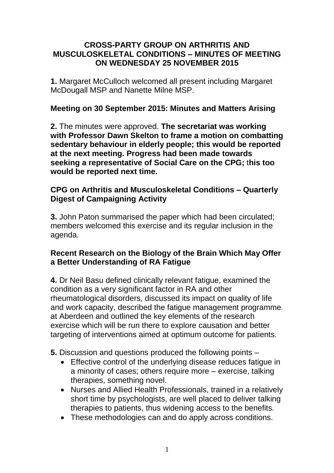#### **CROSS-PARTY GROUP ON ARTHRITIS AND MUSCULOSKELETAL CONDITIONS – MINUTES OF MEETING ON WEDNESDAY 25 NOVEMBER 2015**

**1.** Margaret McCulloch welcomed all present including Margaret McDougall MSP and Nanette Milne MSP.

### **Meeting on 30 September 2015: Minutes and Matters Arising**

**2.** The minutes were approved. **The secretariat was working with Professor Dawn Skelton to frame a motion on combatting sedentary behaviour in elderly people; this would be reported at the next meeting. Progress had been made towards seeking a representative of Social Care on the CPG;** t**his too would be reported next time.**

### **CPG on Arthritis and Musculoskeletal Conditions – Quarterly Digest of Campaigning Activity**

**3.** John Paton summarised the paper which had been circulated; members welcomed this exercise and its regular inclusion in the agenda.

### **Recent Research on the Biology of the Brain Which May Offer a Better Understanding of RA Fatigue**

**4.** Dr Neil Basu defined clinically relevant fatigue, examined the condition as a very significant factor in RA and other rheumatological disorders, discussed its impact on quality of life and work capacity, described the fatigue management programme at Aberdeen and outlined the key elements of the research exercise which will be run there to explore causation and better targeting of interventions aimed at optimum outcome for patients.

- **5.** Discussion and questions produced the following points
	- Effective control of the underlying disease reduces fatigue in a minority of cases; others require more – exercise, talking therapies, something novel.
	- Nurses and Allied Health Professionals, trained in a relatively short time by psychologists, are well placed to deliver talking therapies to patients, thus widening access to the benefits.
	- These methodologies can and do apply across conditions.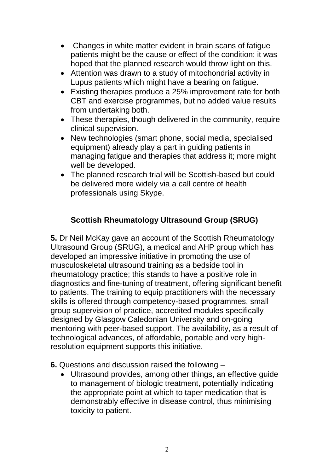- Changes in white matter evident in brain scans of fatigue patients might be the cause or effect of the condition; it was hoped that the planned research would throw light on this.
- Attention was drawn to a study of mitochondrial activity in Lupus patients which might have a bearing on fatigue.
- Existing therapies produce a 25% improvement rate for both CBT and exercise programmes, but no added value results from undertaking both.
- These therapies, though delivered in the community, require clinical supervision.
- New technologies (smart phone, social media, specialised equipment) already play a part in guiding patients in managing fatigue and therapies that address it; more might well be developed.
- The planned research trial will be Scottish-based but could be delivered more widely via a call centre of health professionals using Skype.

# **Scottish Rheumatology Ultrasound Group (SRUG)**

**5.** Dr Neil McKay gave an account of the Scottish Rheumatology Ultrasound Group (SRUG), a medical and AHP group which has developed an impressive initiative in promoting the use of musculoskeletal ultrasound training as a bedside tool in rheumatology practice; this stands to have a positive role in diagnostics and fine-tuning of treatment, offering significant benefit to patients. The training to equip practitioners with the necessary skills is offered through competency-based programmes, small group supervision of practice, accredited modules specifically designed by Glasgow Caledonian University and on-going mentoring with peer-based support. The availability, as a result of technological advances, of affordable, portable and very highresolution equipment supports this initiative.

**6.** Questions and discussion raised the following –

 Ultrasound provides, among other things, an effective guide to management of biologic treatment, potentially indicating the appropriate point at which to taper medication that is demonstrably effective in disease control, thus minimising toxicity to patient.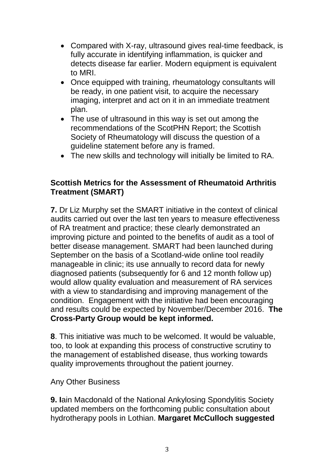- Compared with X-ray, ultrasound gives real-time feedback, is fully accurate in identifying inflammation, is quicker and detects disease far earlier. Modern equipment is equivalent to MRI.
- Once equipped with training, rheumatology consultants will be ready, in one patient visit, to acquire the necessary imaging, interpret and act on it in an immediate treatment plan.
- The use of ultrasound in this way is set out among the recommendations of the ScotPHN Report; the Scottish Society of Rheumatology will discuss the question of a guideline statement before any is framed.
- The new skills and technology will initially be limited to RA.

## **Scottish Metrics for the Assessment of Rheumatoid Arthritis Treatment (SMART)**

**7.** Dr Liz Murphy set the SMART initiative in the context of clinical audits carried out over the last ten years to measure effectiveness of RA treatment and practice; these clearly demonstrated an improving picture and pointed to the benefits of audit as a tool of better disease management. SMART had been launched during September on the basis of a Scotland-wide online tool readily manageable in clinic; its use annually to record data for newly diagnosed patients (subsequently for 6 and 12 month follow up) would allow quality evaluation and measurement of RA services with a view to standardising and improving management of the condition. Engagement with the initiative had been encouraging and results could be expected by November/December 2016. **The Cross-Party Group would be kept informed.**

**8**. This initiative was much to be welcomed. It would be valuable, too, to look at expanding this process of constructive scrutiny to the management of established disease, thus working towards quality improvements throughout the patient journey.

#### Any Other Business

**9. Iain Macdonald of the National Ankylosing Spondylitis Society** updated members on the forthcoming public consultation about hydrotherapy pools in Lothian. **Margaret McCulloch suggested**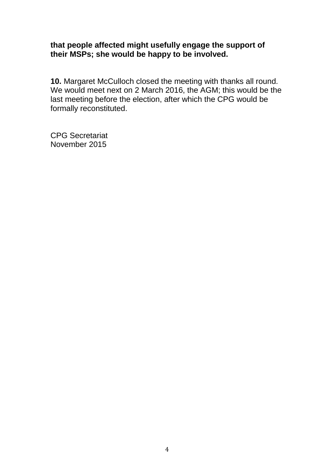#### **that people affected might usefully engage the support of their MSPs; she would be happy to be involved.**

**10.** Margaret McCulloch closed the meeting with thanks all round. We would meet next on 2 March 2016, the AGM; this would be the last meeting before the election, after which the CPG would be formally reconstituted.

CPG Secretariat November 2015